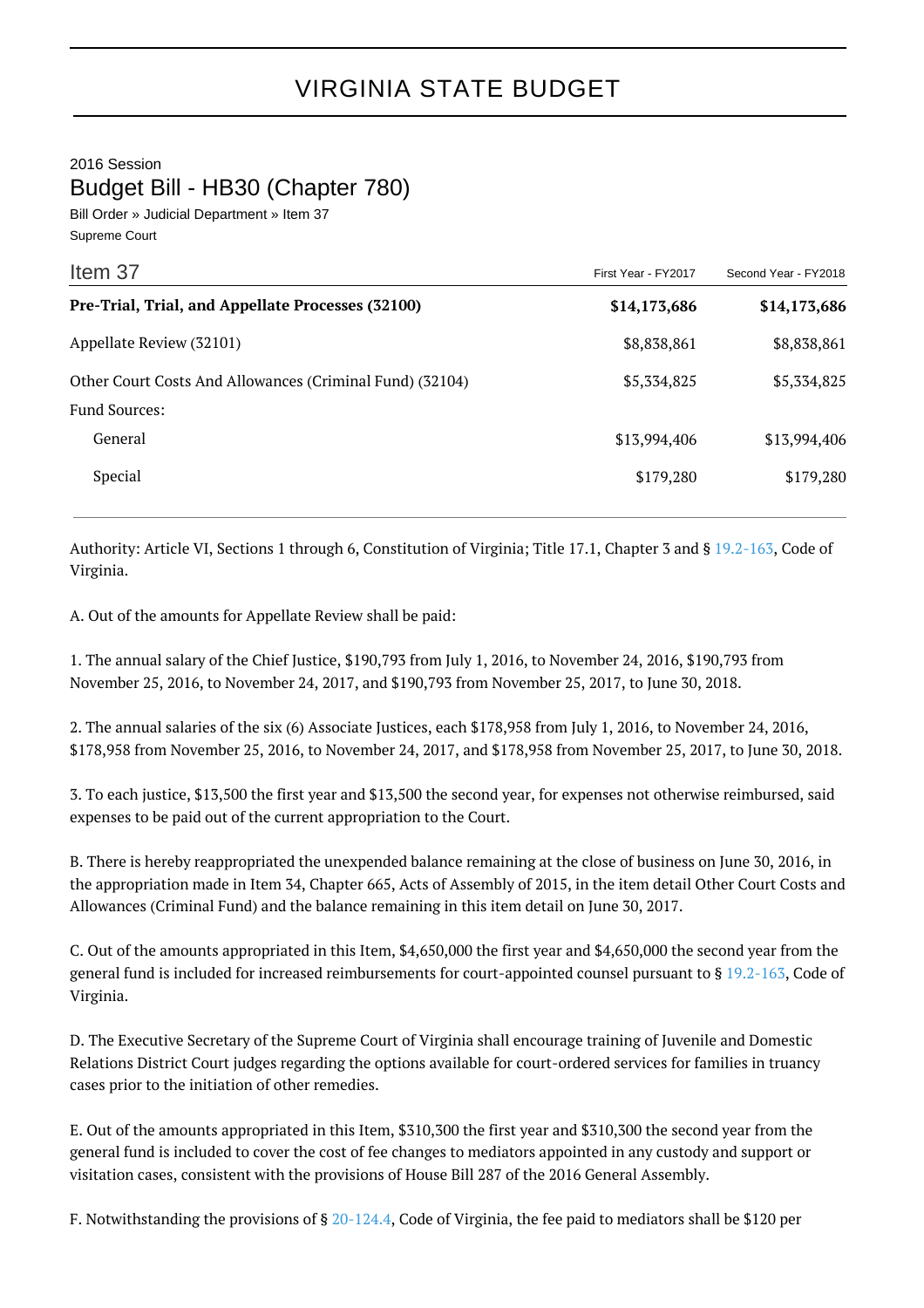2016 Session

Budget Bill - HB30 (Chapter 780)

Bill Order » Judicial Department » Item 37 Supreme Court

| Item 37                                                  | First Year - FY2017 | Second Year - FY2018 |
|----------------------------------------------------------|---------------------|----------------------|
| Pre-Trial, Trial, and Appellate Processes (32100)        | \$14,173,686        | \$14,173,686         |
| Appellate Review (32101)                                 | \$8,838,861         | \$8,838,861          |
| Other Court Costs And Allowances (Criminal Fund) (32104) | \$5,334,825         | \$5,334,825          |
| <b>Fund Sources:</b>                                     |                     |                      |
| General                                                  | \$13,994,406        | \$13,994,406         |
| Special                                                  | \$179,280           | \$179,280            |

Authority: Article VI, Sections 1 through 6, Constitution of Virginia; Title 17.1, Chapter 3 and § [19.2-163](http://law.lis.virginia.gov/vacode/19.2-163/), Code of Virginia.

A. Out of the amounts for Appellate Review shall be paid:

1. The annual salary of the Chief Justice, \$190,793 from July 1, 2016, to November 24, 2016, \$190,793 from November 25, 2016, to November 24, 2017, and \$190,793 from November 25, 2017, to June 30, 2018.

2. The annual salaries of the six (6) Associate Justices, each \$178,958 from July 1, 2016, to November 24, 2016, \$178,958 from November 25, 2016, to November 24, 2017, and \$178,958 from November 25, 2017, to June 30, 2018.

3. To each justice, \$13,500 the first year and \$13,500 the second year, for expenses not otherwise reimbursed, said expenses to be paid out of the current appropriation to the Court.

B. There is hereby reappropriated the unexpended balance remaining at the close of business on June 30, 2016, in the appropriation made in Item 34, Chapter 665, Acts of Assembly of 2015, in the item detail Other Court Costs and Allowances (Criminal Fund) and the balance remaining in this item detail on June 30, 2017.

C. Out of the amounts appropriated in this Item, \$4,650,000 the first year and \$4,650,000 the second year from the general fund is included for increased reimbursements for court-appointed counsel pursuant to § [19.2-163,](http://law.lis.virginia.gov/vacode/19.2-163/) Code of Virginia.

D. The Executive Secretary of the Supreme Court of Virginia shall encourage training of Juvenile and Domestic Relations District Court judges regarding the options available for court-ordered services for families in truancy cases prior to the initiation of other remedies.

E. Out of the amounts appropriated in this Item, \$310,300 the first year and \$310,300 the second year from the general fund is included to cover the cost of fee changes to mediators appointed in any custody and support or visitation cases, consistent with the provisions of House Bill 287 of the 2016 General Assembly.

F. Notwithstanding the provisions of § [20-124.4,](http://law.lis.virginia.gov/vacode/20-124.4/) Code of Virginia, the fee paid to mediators shall be \$120 per